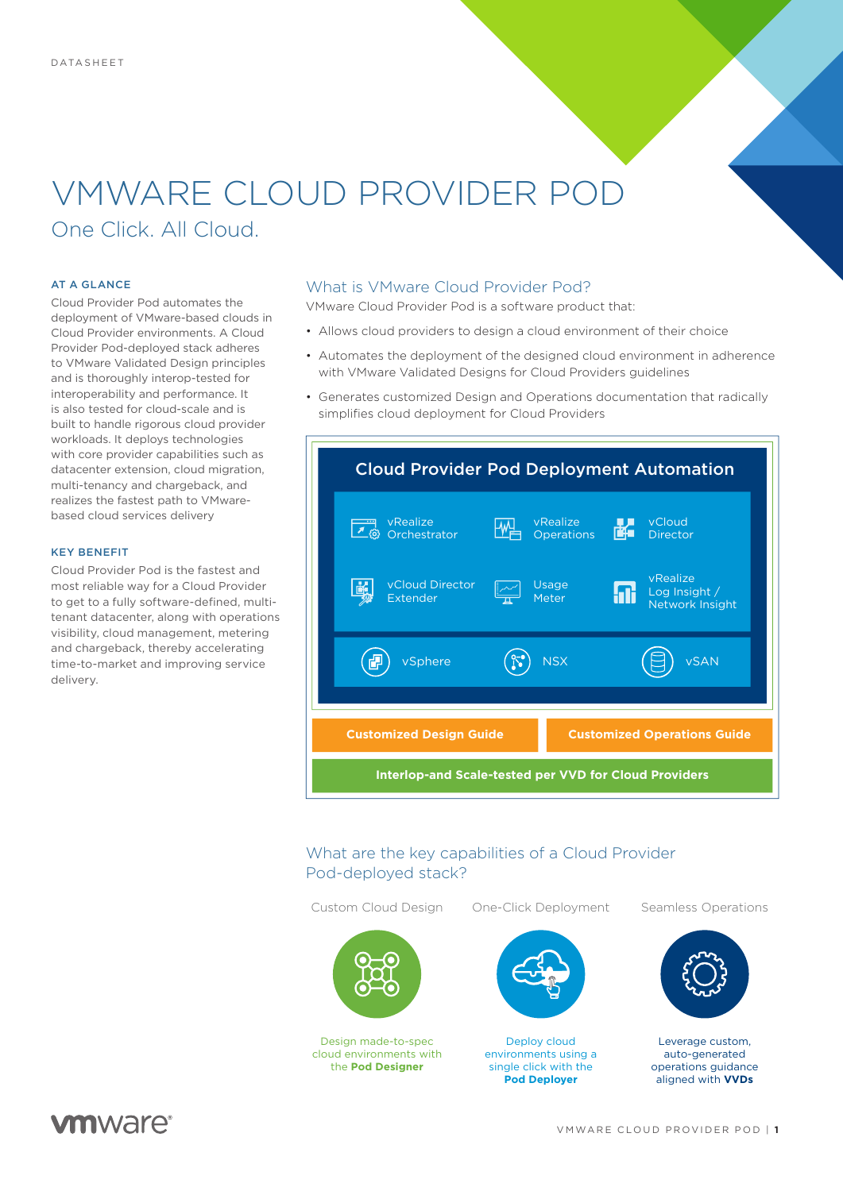# VMWARE CLOUD PROVIDER POD

One Click. All Cloud.

#### AT A GLANCE

Cloud Provider Pod automates the deployment of VMware-based clouds in Cloud Provider environments. A Cloud Provider Pod-deployed stack adheres to VMware Validated Design principles and is thoroughly interop-tested for interoperability and performance. It is also tested for cloud-scale and is built to handle rigorous cloud provider workloads. It deploys technologies with core provider capabilities such as datacenter extension, cloud migration, multi-tenancy and chargeback, and realizes the fastest path to VMwarebased cloud services delivery

#### KEY BENEFIT

Cloud Provider Pod is the fastest and most reliable way for a Cloud Provider to get to a fully software-defined, multitenant datacenter, along with operations visibility, cloud management, metering and chargeback, thereby accelerating time-to-market and improving service delivery.

### What is VMware Cloud Provider Pod?

VMware Cloud Provider Pod is a software product that:

- Allows cloud providers to design a cloud environment of their choice
- Automates the deployment of the designed cloud environment in adherence with VMware Validated Designs for Cloud Providers guidelines
- Generates customized Design and Operations documentation that radically simplifies cloud deployment for Cloud Providers



# What are the key capabilities of a Cloud Provider Pod-deployed stack?

Design made-to-spec cloud environments with the **Pod Designer**

Custom Cloud Design One-Click Deployment Seamless Operations



Deploy cloud environments using a single click with the **Pod Deployer**



Leverage custom, auto-generated operations guidance aligned with **VVDs**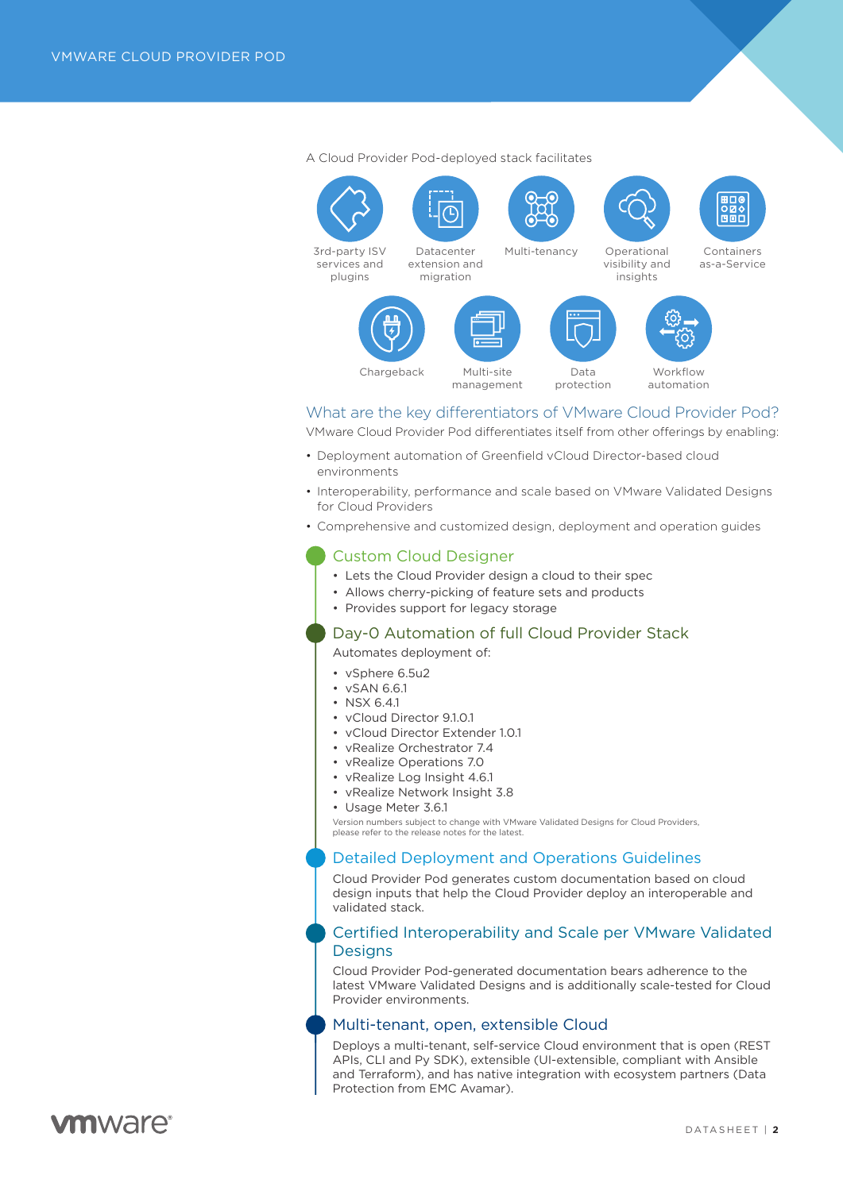

A Cloud Provider Pod-deployed stack facilitates

# What are the key diferentiators of VMware Cloud Provider Pod?

VMware Cloud Provider Pod differentiates itself from other offerings by enabling:

- Deployment automation of Greenfield vCloud Director-based cloud environments
- Interoperability, performance and scale based on VMware Validated Designs for Cloud Providers
- Comprehensive and customized design, deployment and operation guides

# Custom Cloud Designer

- Lets the Cloud Provider design a cloud to their spec
- Allows cherry-picking of feature sets and products
- Provides support for legacy storage

## Day-0 Automation of full Cloud Provider Stack

Automates deployment of:

- vSphere 6.5u2
- vSAN 6.6.1
- NSX 6.4.1
- vCloud Director 9.1.0.1
- vCloud Director Extender 1.0.1
- vRealize Orchestrator 7.4
- vRealize Operations 7.0
- vRealize Log Insight 4.6.1
- vRealize Network Insight 3.8
- Usage Meter 3.6.1

Version numbers subject to change with VMware Validated Designs for Cloud Providers, please refer to the release notes for the latest.

# Detailed Deployment and Operations Guidelines

Cloud Provider Pod generates custom documentation based on cloud design inputs that help the Cloud Provider deploy an interoperable and validated stack.

## Certified Interoperability and Scale per VMware Validated **Designs**

Cloud Provider Pod-generated documentation bears adherence to the latest VMware Validated Designs and is additionally scale-tested for Cloud Provider environments.

#### Multi-tenant, open, extensible Cloud

Deploys a multi-tenant, self-service Cloud environment that is open (REST APIs, CLI and Py SDK), extensible (UI-extensible, compliant with Ansible and Terraform), and has native integration with ecosystem partners (Data Protection from EMC Avamar).

# *m*nware